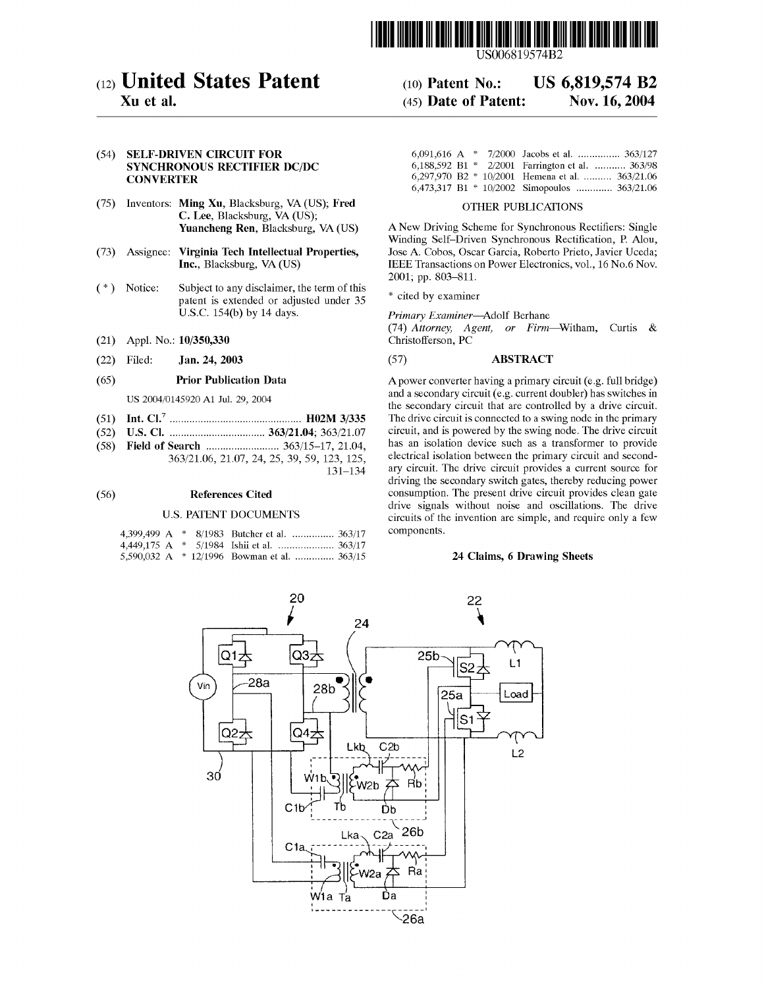

US006819574B2

# (12) United States Patent

# Xu et al.

## (54) SELF-DRIVEN CIRCUIT FOR SYNCHRONOUS RECTIFIER DC/DC **CONVERTER**

- (75) Inventors: Ming Xu, Blacksburg, VA (US); Fred C. Lee, Blacksburg, VA (US); Yuancheng Ren, Blacksburg, VA (US)
- (73) Assignee: Virginia Tech Intellectual Properties, Inc., Blacksburg, VA (US)
- Notice: Subject to any disclaimer, the term of this  $(*)$ patent is extended or adjusted under 35 U.S.C. 154(b) by 14 days.
- (21) Appl. No.: 10/350,330
- (22) Filed: Jan. 24, 2003

#### (65) Prior Publication Data

US 2004/0145920 A1 Jul. 29, 2004

- (51) Int. Cl.7 ............................................... H02M 3/335
- (52) US. Cl. .................................. 363/21.04; 363/2107
- (58) Field of Search .......................... 363/15—17, 21.04, 363/2106, 21.07, 24, 25, 39, 59, 123, 125, 131—134

#### (56) References Cited

#### U.S. PATENT DOCUMENTS

|  |  | 4.399.499 A * 8/1983 Butcher et al.  363/17 |  |
|--|--|---------------------------------------------|--|
|  |  |                                             |  |
|  |  | 5,590,032 A * 12/1996 Bowman et al.  363/15 |  |

|  |  | 6,091,616 A $*$ 7/2000 Jacobs et al.  363/127     |
|--|--|---------------------------------------------------|
|  |  | 6,188,592 B1 * 2/2001 Farrington et al.  363/98   |
|  |  | 6,297,970 B2 $*$ 10/2001 Hemena et al.  363/21.06 |
|  |  | 6,473,317 B1 $*$ 10/2002 Simopoulos  363/21.06    |

US 6,819,574 B2

Nov. 16, 2004

### OTHER PUBLICATIONS

A New Driving Scheme for Synchronous Rectifiers: Single Winding Self—Driven Synchronous Rectification, P. Alou, Jose A. Cobos, Oscar Garcia, Roberto Prieto, Javier Uceda; IEEE Transactions on Power Electronics, vol., 16 No.6 Nov. 2001; pp. 803—811.

\* cited by examiner

(10) Patent N0.: (45) Date of Patent:

Primary Examiner—Adolf Berhane

(74) Attorney, Agent, or Firm—Witham, Curtis & Christofferson, PC

#### (57) ABSTRACT

Apower converter having <sup>a</sup> primary circuit (e.g. full bridge) and a secondary circuit (e.g. current doubler) has switches in the secondary circuit that are controlled by a drive circuit. The drive circuit is connected to a swing node in the primary circuit, and is powered by the swing node. The drive circuit has an isolation device such as a transformer to provide electrical isolation between the primary circuit and secondary circuit. The drive circuit provides a current source for driving the secondary switch gates, thereby reducing power consumption. The present drive circuit provides clean gate drive signals without noise and oscillations. The drive circuits of the invention are simple, and require only a few components.

#### 24 Claims, 6 Drawing Sheets

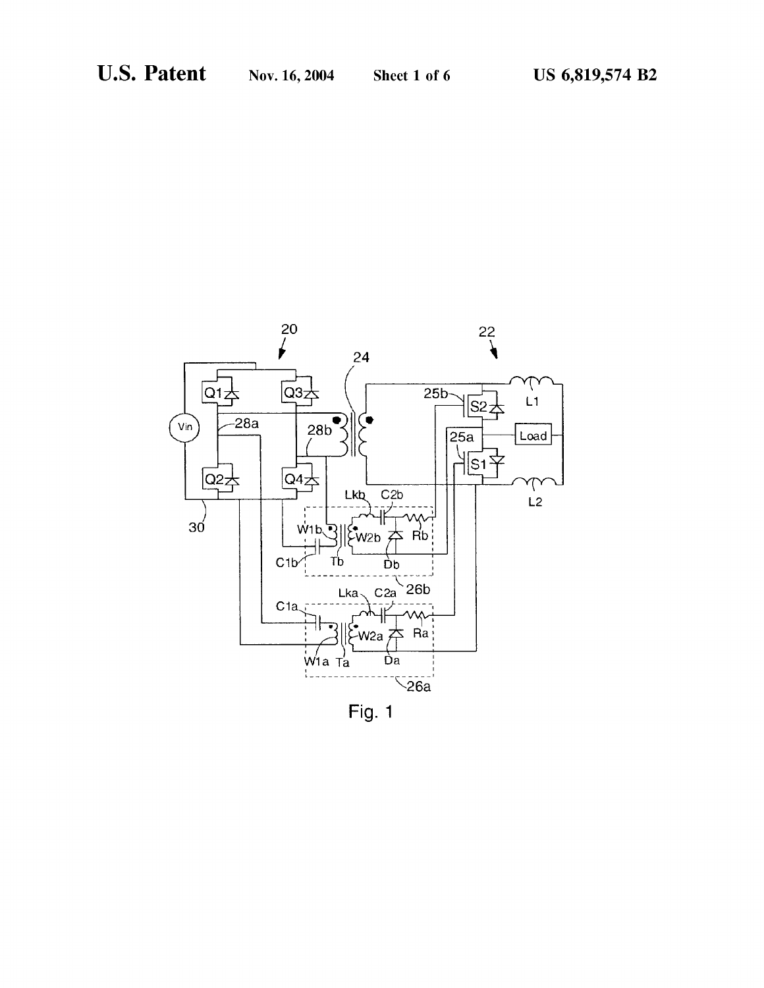

Fig. 1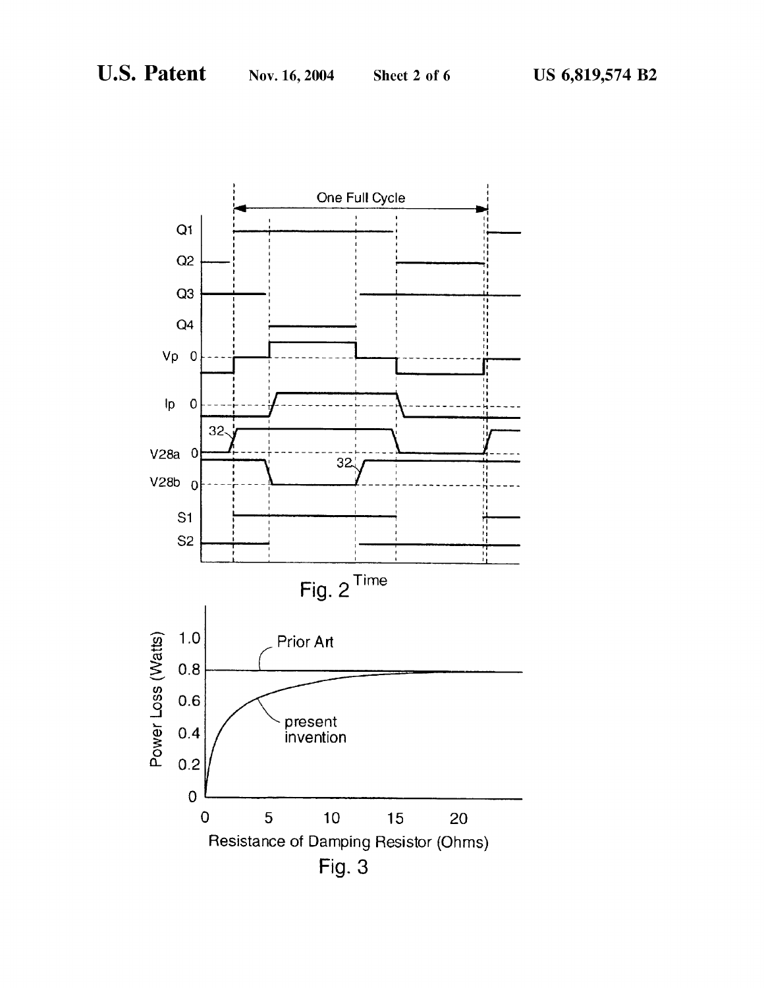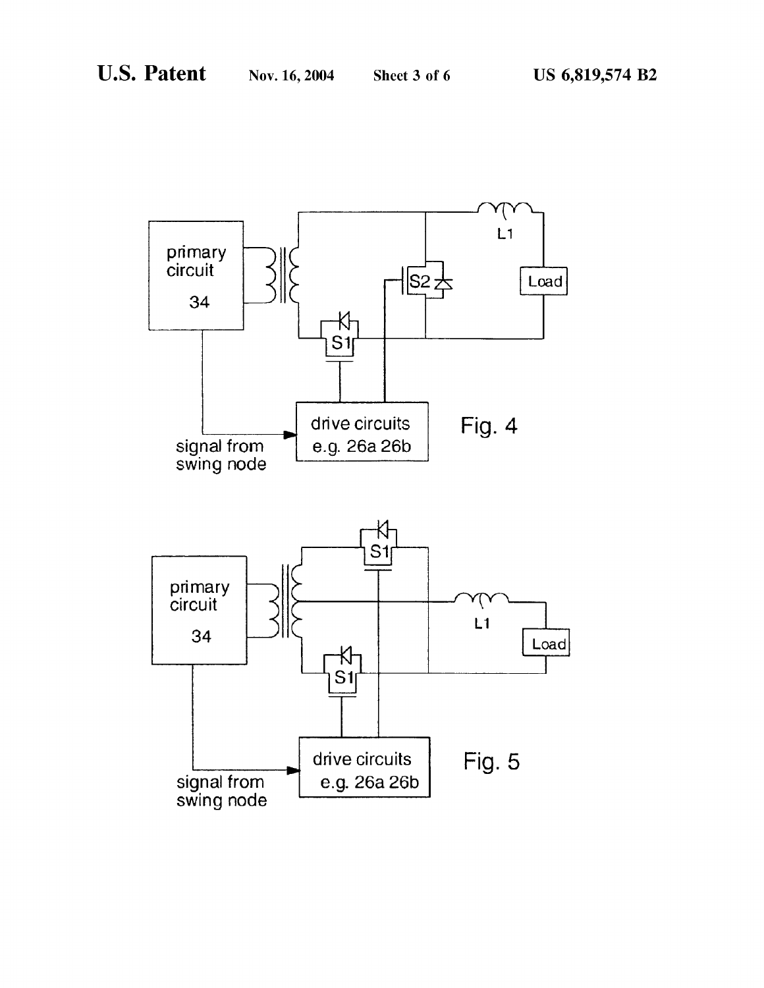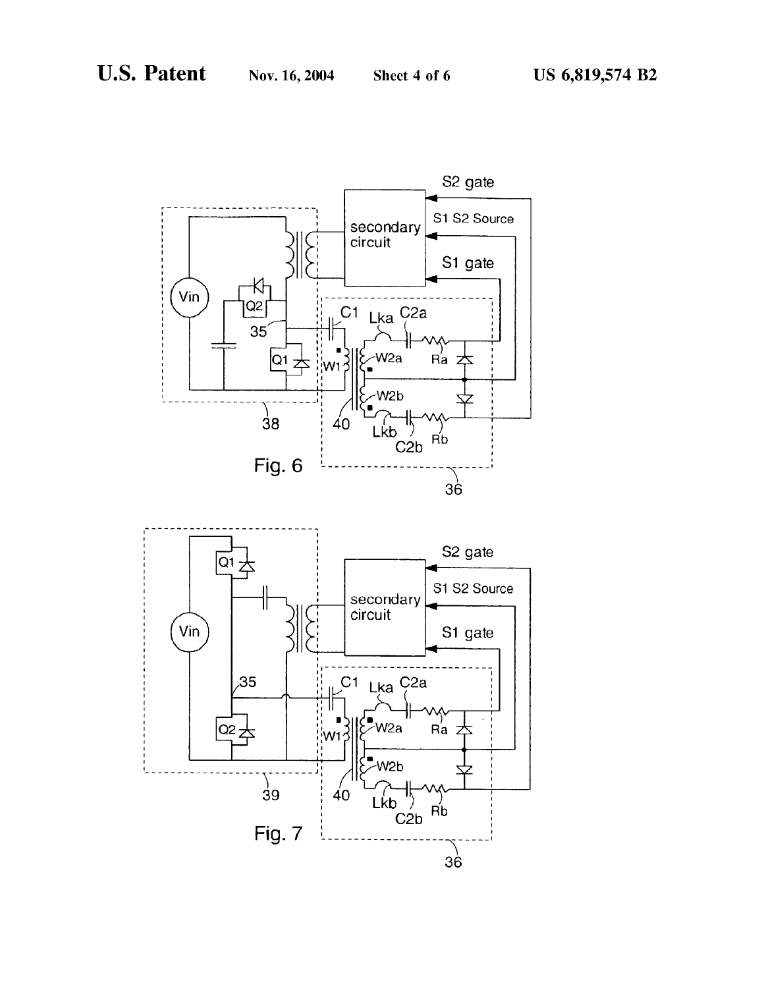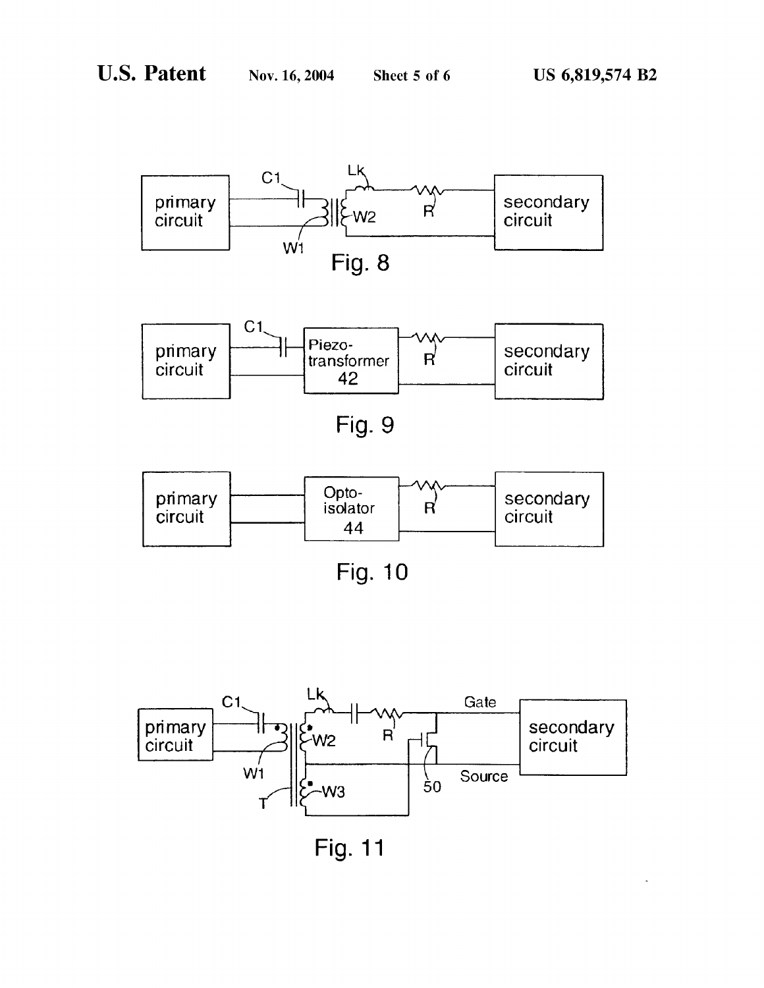

Fig. 10



Fig. 11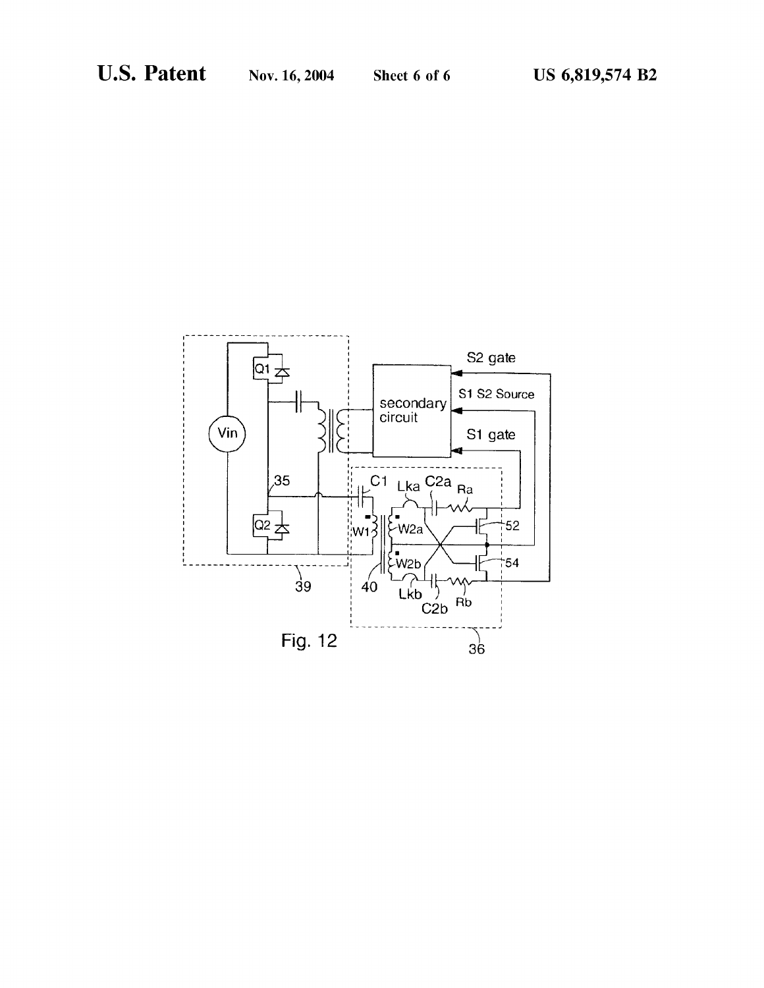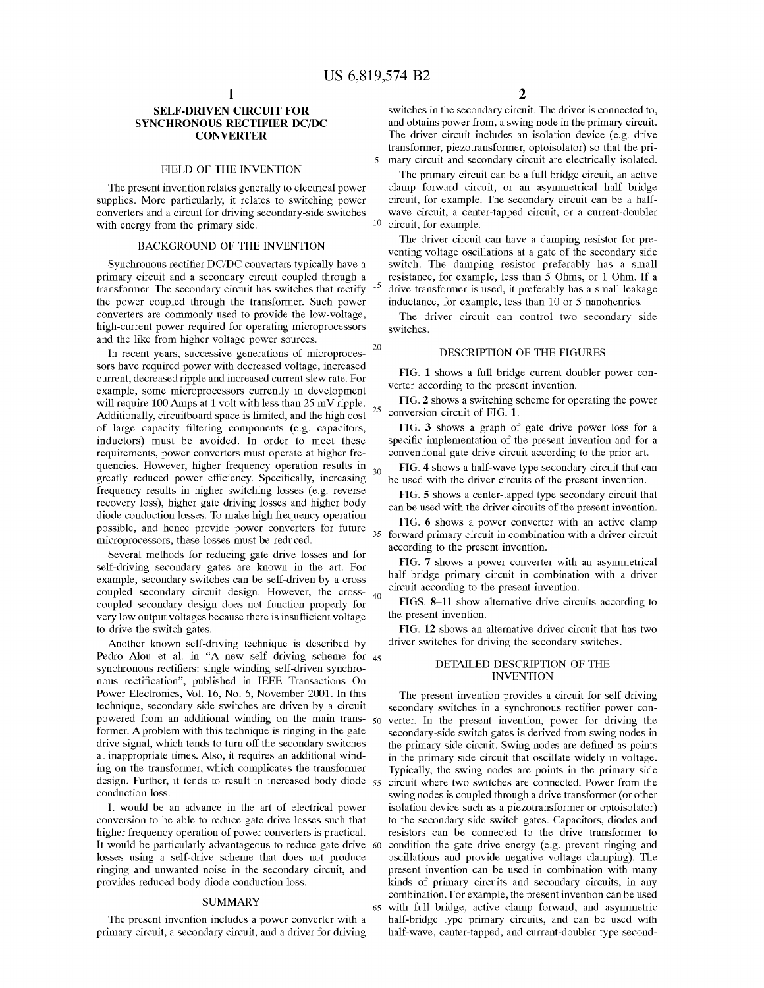$\overline{\phantom{0}}$ 

15

30

65

## SELF-DRIVEN CIRCUIT FOR SYNCHRONOUS RECTIFIER DC/DC **CONVERTER**

#### FIELD OF THE INVENTION

The present invention relates generally to electrical power supplies. More particularly, it relates to switching power converters and a circuit for driving secondary-side switches with energy from the primary side.

## BACKGROUND OF THE INVENTION

Synchronous rectifier DC/DC converters typically have <sup>a</sup> primary circuit and a secondary circuit coupled through a transformer. The secondary circuit has switches that rectify the power coupled through the transformer. Such power converters are commonly used to provide the low-voltage, high-current power required for operating microprocessors and the like from higher voltage power sources.

In recent years, successive generations of microprocessors have required power with decreased voltage, increased current, decreased ripple and increased current slew rate. For example, some microprocessors currently in development will require 100 Amps at 1 volt with less than 25 mV ripple. Additionally, circuitboard space is limited, and the high cost of large capacity filtering components (e.g. capacitors, inductors) must be avoided. In order to meet these requirements, power converters must operate at higher frequencies. However, higher frequency operation results in greatly reduced power efficiency. Specifically, increasing frequency results in higher switching losses (e.g. reverse recovery loss), higher gate driving losses and higher body diode conduction losses. To make high frequency operation possible, and hence provide power converters for future possible, and hence provide power converters for future  $\frac{35}{35}$ 20 25

Several methods for reducing gate drive losses and for self-driving secondary gates are known in the art. For example, secondary switches can be self-driven by a cross coupled secondary circuit design. However, the cross-40 coupled secondary design does not function properly for very low output voltages because there is insufficient voltage to drive the switch gates.

Another known self-driving technique is described by Pedro Alou et al. in "A new self driving scheme for 45 synchronous rectifiers: single winding self-driven synchronous rectification", published in IEEE Transactions On Power Electronics, Vol. 16, No. 6, November 2001. In this technique, secondary side switches are driven by a circuit powered from an additional winding on the main trans- 50 former. A problem with this technique is ringing in the gate drive signal, which tends to turn off the secondary switches at inappropriate times. Also, it requires an additional winding on the transformer, which complicates the transformer design. Further, it tends to result in increased body diode 55 conduction loss.

It would be an advance in the art of electrical power conversion to be able to reduce gate drive losses such that higher frequency operation of power converters is practical. It would be particularly advantageous to reduce gate drive 60 losses using a self-drive scheme that does not produce ringing and unwanted noise in the secondary circuit, and provides reduced body diode conduction loss.

#### **SUMMARY**

The present invention includes a power converter with a primary circuit, a secondary circuit, and a driver for driving switches in the secondary circuit. The driver is connected to, and obtains power from, a swing node in the primary circuit. The driver circuit includes an isolation device (e.g. drive transformer, piezotransformer, optoisolator) so that the primary circuit and secondary circuit are electrically isolated.

The primary circuit can be a full bridge circuit, an active clamp forward circuit, or an asymmetrical half bridge circuit, for example. The secondary circuit can be a halfwave circuit, a center-tapped circuit, or a current-doubler circuit, for example.

The driver circuit can have a damping resistor for preventing voltage oscillations at a gate of the secondary side switch. The damping resistor preferably has a small resistance, for example, less than 5 Ohms, or <sup>1</sup> Ohm. If a drive transformer is used, it preferably has a small leakage inductance, for example, less than 10 or 5 nanohenries.

The driver circuit can control two secondary side switches.

#### DESCRIPTION OF THE FIGURES

FIG. 1 shows a full bridge current doubler power converter according to the present invention.

FIG. 2 shows a switching scheme for operating the power conversion circuit of FIG. 1.

FIG. 3 shows a graph of gate drive power loss for a specific implementation of the present invention and for a conventional gate drive circuit according to the prior art.

FIG. 4 shows a half-wave type secondary circuit that can be used with the driver circuits of the present invention.

FIG. 5 shows a center-tapped type secondary circuit that can be used with the driver circuits of the present invention.

FIG. 6 shows a power converter with an active clamp forward primary circuit in combination with a driver circuit according to the present invention.

FIG. 7 shows a power converter with an asymmetrical half bridge primary circuit in combination with a driver circuit according to the present invention.

FIGS. 8—11 show alternative drive circuits according to the present invention.

FIG. 12 shows an alternative driver circuit that has two driver switches for driving the secondary switches.

#### DETAILED DESCRIPTION OF THE INVENTION

The present invention provides a circuit for self driving secondary switches in a synchronous rectifier power converter. In the present invention, power for driving the secondary-side switch gates is derived from swing nodes in the primary side circuit. Swing nodes are defined as points in the primary side circuit that oscillate widely in voltage. Typically, the swing nodes are points in the primary side circuit where two switches are connected. Power from the swing nodes is coupled through a drive transformer (or other isolation device such as a piezotransformer or optoisolator) to the secondary side switch gates. Capacitors, diodes and resistors can be connected to the drive transformer to condition the gate drive energy (e.g. prevent ringing and oscillations and provide negative voltage clamping). The present invention can be used in combination with many kinds of primary circuits and secondary circuits, in any combination. For example, the present invention can be used with full bridge, active clamp forward, and asymmetric half-bridge type primary circuits, and can be used with half-wave, center-tapped, and current-doubler type second-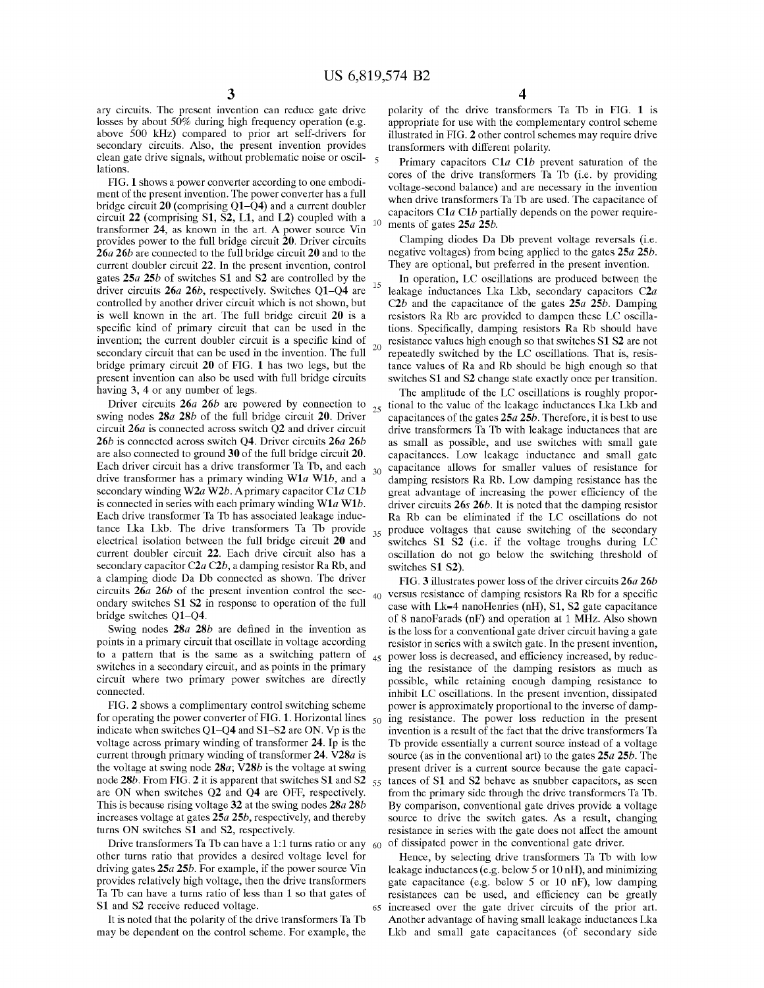15

30

ary circuits. The present invention can reduce gate drive losses by about 50% during high frequency operation (e.g. above 500 kHz) compared to prior art self-drivers for secondary circuits. Also, the present invention provides clean gate drive signals, without problematic noise or oscillations.

FIG. 1 shows a power converter according to one embodiment of the present invention. The power converter has a full bridge circuit 20 (comprising Q1—Q4) and a current doubler circuit 22 (comprising Sl, S2, L1, and L2) coupled with a transformer 24, as known in the art. A power source Vin provides power to the full bridge circuit 20. Driver circuits 26a 26b are connected to the full bridge circuit 20 and to the current doubler circuit 22. In the present invention, control gates 25a 25b of switches SI and S2 are controlled by the driver circuits 26*a* 26*b*, respectively. Switches Q1–Q4 are controlled by another driver circuit which is not shown, but is well known in the art. The full bridge circuit 20 is <sup>a</sup> specific kind of primary circuit that can be used in the invention; the current doubler circuit is a specific kind of secondary circuit that can be used in the invention. The full bridge primary circuit 20 of FIG. 1 has two legs, but the present invention can also be used with full bridge circuits having 3, 4 or any number of legs. 20

Driver circuits 26*a* 26*b* are powered by connection to  $_{25}$ swing nodes  $28a 28b$  of the full bridge circuit 20. Driver circuit 26a is connected across switch Q2 and driver circuit 26*b* is connected across switch Q4. Driver circuits 26*a* 26*b* are also connected to ground 30 of the full bridge circuit 20. Each driver circuit has a drive transformer Ta Tb, and each drive transformer has a primary winding  $W1a W1b$ , and a secondary winding W2a W2b. A primary capacitor C1a C1b is connected in series with each primary winding  $W1a W1b$ . Each drive transformer Ta Tb has associated leakage inductance Lka Lkb. The drive transformers Ta Tb provide electrical isolation between the full bridge circuit 20 and current doubler circuit 22. Each drive circuit also has a secondary capacitor  $C2a C2b$ , a damping resistor Ra Rb, and <sup>a</sup> clamping diode Da Db connected as shown. The driver circuits 26a 26b of the present invention control the secondary switches Sl S2 in response to operation of the full bridge switches Q1—Q4.  $40<sup>1</sup>$ 

Swing nodes 28*a* 28*b* are defined in the invention as points in a primary circuit that oscillate in voltage according to a pattern that is the same as a switching pattern of  $_{45}$ switches in a secondary circuit, and as points in the primary circuit where two primary power switches are directly connected.

FIG. 2 shows a complimentary control switching scheme for operating the power converter of FIG. 1. Horizontal lines  $_{50}$ indicate when switches Q1—Q4 and 81—82 are ON. Vp is the voltage across primary winding of transformer 24. Ip is the current through primary winding of transformer 24. V28a is the voltage at swing node  $28a$ ; V28b is the voltage at swing node 28b. From FIG. 2 it is apparent that switches S1 and S2  $_{55}$ are ON when switches Q2 and Q4 are OFF, respectively. This is because rising voltage 32 at the swing nodes  $28a 28b$ increases voltage at gates 25a 25b, respectively, and thereby turns ON switches SI and S2, respectively.

Drive transformers Ta Tb can have a 1:1 turns ratio or any  $60$ other turns ratio that provides a desired voltage level for driving gates 25a 25b. For example, if the power source Vin provides relatively high voltage, then the drive transformers Ta Tb can have a turns ratio of less than <sup>1</sup> so that gates of S1 and S2 receive reduced voltage. 65

It is noted that the polarity of the drive transformers Ta Tb may be dependent on the control scheme. For example, the polarity of the drive transformers Ta Tb in FIG. 1 is appropriate for use with the complementary control scheme illustrated in FIG. 2 other control schemes may require drive transformers with different polarity.

Primary capacitors C1a C1b prevent saturation of the cores of the drive transformers Ta Tb (i.e. by providing voltage-second balance) and are necessary in the invention when drive transformers Ta Tb are used. The capacitance of capacitors C1 $a$  C1 $b$  partially depends on the power requirements of gates 25a 25b.

Clamping diodes Da Db prevent voltage reversals (i.e. negative voltages) from being applied to the gates 25a 25b. They are optional, but preferred in the present invention.

In operation, LC oscillations are produced between the leakage inductances Lka Lkb, secondary capacitors C2a C2b and the capacitance of the gates  $25a$  25b. Damping resistors Ra Rb are provided to dampen these LC oscillations. Specifically, damping resistors Ra Rb should have resistance values high enough so that switches S1 S2 are not repeatedly switched by the LC oscillations. That is, resistance values of Ra and Rb should be high enough so that switches SI and S2 change state exactly once per transition.

35 produce voltages that cause switching of the secondary The amplitude of the LC oscillations is roughly proportional to the value of the leakage inductances Lka Lkb and capacitances of the gates  $25a 25b$ . Therefore, it is best to use drive transformers Ta Tb with leakage inductances that are as small as possible, and use switches with small gate capacitances. Low leakage inductance and small gate capacitance allows for smaller values of resistance for damping resistors Ra Rb. Low damping resistance has the great advantage of increasing the power efficiency of the driver circuits 26s 26b. It is noted that the damping resistor Ra Rb can be eliminated if the LC oscillations do not switches Sl S2 (i.e. if the voltage troughs during LC oscillation do not go below the switching threshold of switches S1 S2).

FIG. 3 illustrates power loss of the driver circuits 26a 26b versus resistance of damping resistors Ra Rb for <sup>a</sup> specific case with  $Lk=4$  nanoHenries (nH), S1, S2 gate capacitance of 8 nanoFarads (nF) and operation at <sup>1</sup> MHZ. Also shown is the loss for a conventional gate driver circuit having a gate resistor in series with a switch gate. In the present invention, power loss is decreased, and efficiency increased, by reducing the resistance of the damping resistors as much as possible, while retaining enough damping resistance to inhibit LC oscillations. In the present invention, dissipated power is approximately proportional to the inverse of damping resistance. The power loss reduction in the present invention is a result of the fact that the drive transformers Ta Tb provide essentially a current source instead of a voltage source (as in the conventional art) to the gates  $25a 25b$ . The present driver is a current source because the gate capacitances of SI and S2 behave as snubber capacitors, as seen from the primary side through the drive transformers Ta Tb. By comparison, conventional gate drives provide <sup>a</sup> voltage source to drive the switch gates. As <sup>a</sup> result, changing resistance in series with the gate does not affect the amount of dissipated power in the conventional gate driver.

Hence, by selecting drive transformers Ta Tb with low leakage inductances (e.g. below 5 or 10 nH), and minimizing gate capacitance (e.g. below 5 or 10 nF), low damping resistances can be used, and efficiency can be greatly increased over the gate driver circuits of the prior art. Another advantage of having small leakage inductances Lka Lkb and small gate capacitances (of secondary side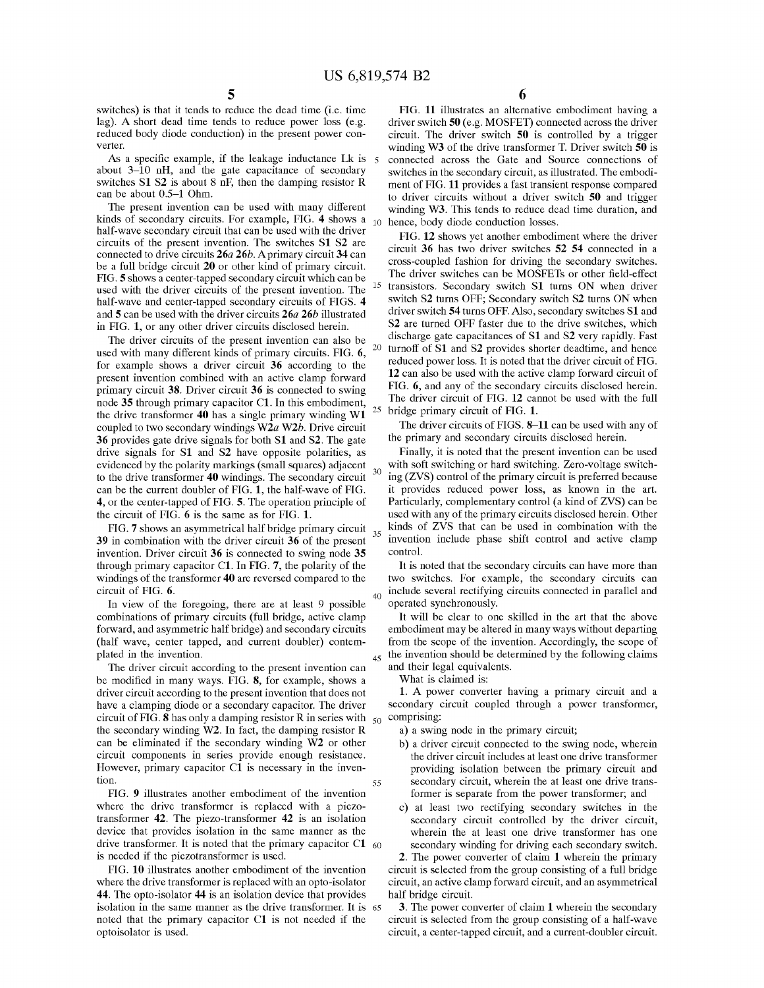15

25

40

 $35$ 

45

55

switches) is that it tends to reduce the dead time (i.e. time lag). A short dead time tends to reduce power loss (e.g. reduced body diode conduction) in the present power converter.

As a specific example, if the leakage inductance Lk is  $5$ about 3—10 nH, and the gate capacitance of secondary switches  $S1 S2$  is about 8 nF, then the damping resistor R can be about 0.5—1 Ohm.

The present invention can be used with many different kinds of secondary circuits. For example, FIG. 4 shows a half-wave secondary circuit that can be used with the driver circuits of the present invention. The switches Sl S2 are connected to drive circuits 26a 26b. Aprimary circuit 34 can be a full bridge circuit 20 or other kind of primary circuit. FIG. 5 shows a center-tapped secondary circuit which can be used with the driver circuits of the present invention. The half-wave and center-tapped secondary circuits of FIGS. 4 and 5 can be used with the driver circuits 26a 26b illustrated in FIG. 1, or any other driver circuits disclosed herein.

The driver circuits of the present invention can also be used with many different kinds of primary circuits. FIG. 6, for example shows a driver circuit 36 according to the present invention combined with an active clamp forward primary circuit 38. Driver circuit 36 is connected to swing node 35 through primary capacitor C1. In this embodiment, the drive transformer <sup>40</sup> has <sup>a</sup> single primary winding W1 coupled to two secondary windings W2a W2b. Drive circuit 36 provides gate drive signals for both SI and S2. The gate drive signals for SI and S2 have opposite polarities, as evidenced by the polarity markings (small squares) adjacent to the drive transformer 40 windings. The secondary circuit can be the current doubler of FIG. 1, the half-wave of FIG. 4, or the center-tapped of FIG. 5. The operation principle of the circuit of FIG. 6 is the same as for FIG. 1. 20

FIG. 7 shows an asymmetrical half bridge primary circuit 39 in combination with the driver circuit 36 of the present invention. Driver circuit 36 is connected to swing node 35 through primary capacitor C1. In FIG. 7, the polarity of the windings of the transformer 40 are reversed compared to the circuit of FIG. 6.

In view of the foregoing, there are at least 9 possible combinations of primary circuits (full bridge, active clamp forward, and asymmetric half bridge) and secondary circuits (half wave, center tapped, and current doubler) contemplated in the invention.

The driver circuit according to the present invention can be modified in many ways. FIG. 8, for example, shows <sup>a</sup> driver circuit according to the present invention that does not have a clamping diode or a secondary capacitor. The driver circuit of FIG. 8 has only a damping resistor R in series with  $_{50}$  comprising: the secondary winding W2. In fact, the damping resistor R can be eliminated if the secondary winding W2 or other circuit components in series provide enough resistance. However, primary capacitor C1 is necessary in the invention.

FIG. 9 illustrates another embodiment of the invention where the drive transformer is replaced with a piezotransformer 42. The piezo-transformer 42 is an isolation device that provides isolation in the same manner as the drive transformer. It is noted that the primary capacitor C1  $_{60}$ is needed if the piezotransformer is used.

FIG. 10 illustrates another embodiment of the invention where the drive transformer is replaced with an opto-isolator 44. The opto-isolator 44 is an isolation device that provides isolation in the same manner as the drive transformer. It is 65 noted that the primary capacitor C1 is not needed if the optoisolator is used.

FIG. 11 illustrates an alternative embodiment having a driver switch 50 (e.g. MOSFET) connected across the driver circuit. The driver switch 50 is controlled by a trigger winding W3 of the drive transformer T. Driver switch 50 is connected across the Gate and Source connections of switches in the secondary circuit, as illustrated. The embodiment of FIG. 11 provides a fast transient response compared to driver circuits without a driver switch 50 and trigger winding W3. This tends to reduce dead time duration, and hence, body diode conduction losses.

FIG. 12 shows yet another embodiment where the driver circuit 36 has two driver switches 52 54 connected in a cross-coupled fashion for driving the secondary switches. The driver switches can be MOSFETs or other field-effect transistors. Secondary switch Sl turns ON when driver switch S2 turns OFF; Secondary switch S2 turns ON when driver switch 54 turns OFF. Also, secondary switches SI and S2 are turned OFF faster due to the drive switches, which discharge gate capacitances of SI and S2 very rapidly. Fast turnoff of SI and S2 provides shorter deadtime, and hence reduced power loss. It is noted that the driver circuit of FIG. 12 can also be used with the active clamp forward circuit of FIG. 6, and any of the secondary circuits disclosed herein. The driver circuit of FIG. 12 cannot be used with the full bridge primary circuit of FIG. 1.

The driver circuits of FIGS. 8—11 can be used with any of the primary and secondary circuits disclosed herein.

Finally, it is noted that the present invention can be used with soft switching or hard switching. Zero-voltage switching (ZVS) control of the primary circuit is preferred because it provides reduced power loss, as known in the art. Particularly, complementary control (a kind of ZVS) can be used with any of the primary circuits disclosed herein. Other kinds of ZVS that can be used in combination with the invention include phase shift control and active clamp control.

It is noted that the secondary circuits can have more than two switches. For example, the secondary circuits can include several rectifying circuits connected in parallel and operated synchronously.

It will be clear to one skilled in the art that the above embodiment may be altered in many ways without departing from the scope of the invention. Accordingly, the scope of the invention should be determined by the following claims and their legal equivalents.

What is claimed is:

1. A power converter having <sup>a</sup> primary circuit and <sup>a</sup> secondary circuit coupled through a power transformer,

a) a swing node in the primary circuit;

- b) a driver circuit connected to the swing node, wherein the driver circuit includes at least one drive transformer providing isolation between the primary circuit and secondary circuit, wherein the at least one drive transformer is separate from the power transformer; and
- c) at least two rectifying secondary switches in the secondary circuit controlled by the driver circuit, wherein the at least one drive transformer has one secondary winding for driving each secondary switch.

2. The power converter of claim 1 wherein the primary circuit is selected from the group consisting of a full bridge circuit, an active clamp forward circuit, and an asymmetrical half bridge circuit.

3. The power converter of claim 1 wherein the secondary circuit is selected from the group consisting of a half-wave circuit, a center-tapped circuit, and a current-doubler circuit.